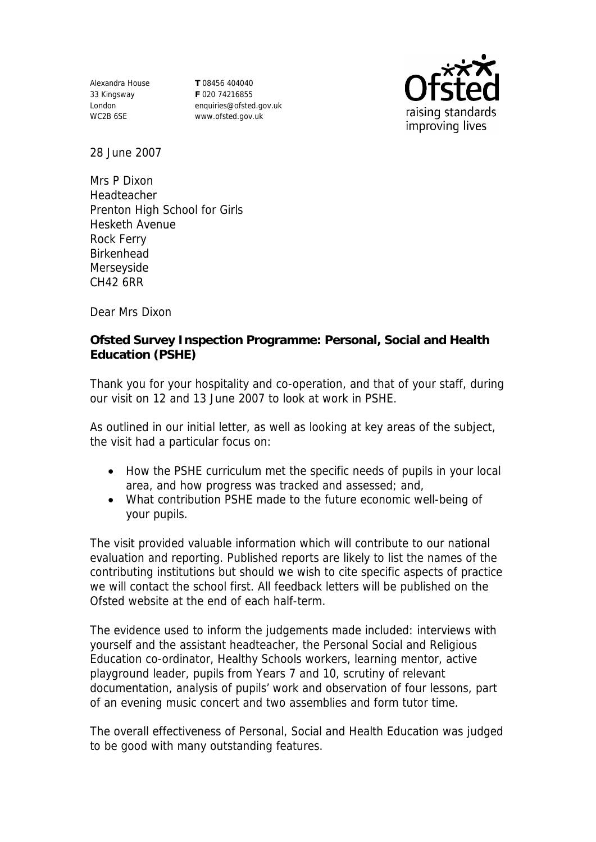Alexandra House 33 Kingsway London WC2B 6SE

**T** 08456 404040 **F** 020 74216855 enquiries@ofsted.gov.uk www.ofsted.gov.uk



28 June 2007

Mrs P Dixon Headteacher Prenton High School for Girls Hesketh Avenue Rock Ferry Birkenhead Merseyside CH42 6RR

Dear Mrs Dixon

**Ofsted Survey Inspection Programme: Personal, Social and Health Education (PSHE)**

Thank you for your hospitality and co-operation, and that of your staff, during our visit on 12 and 13 June 2007 to look at work in PSHE.

As outlined in our initial letter, as well as looking at key areas of the subject, the visit had a particular focus on:

- How the PSHE curriculum met the specific needs of pupils in your local area, and how progress was tracked and assessed; and,
- What contribution PSHE made to the future economic well-being of your pupils.

The visit provided valuable information which will contribute to our national evaluation and reporting. Published reports are likely to list the names of the contributing institutions but should we wish to cite specific aspects of practice we will contact the school first. All feedback letters will be published on the Ofsted website at the end of each half-term.

The evidence used to inform the judgements made included: interviews with yourself and the assistant headteacher, the Personal Social and Religious Education co-ordinator, Healthy Schools workers, learning mentor, active playground leader, pupils from Years 7 and 10, scrutiny of relevant documentation, analysis of pupils' work and observation of four lessons, part of an evening music concert and two assemblies and form tutor time.

The overall effectiveness of Personal, Social and Health Education was judged to be good with many outstanding features.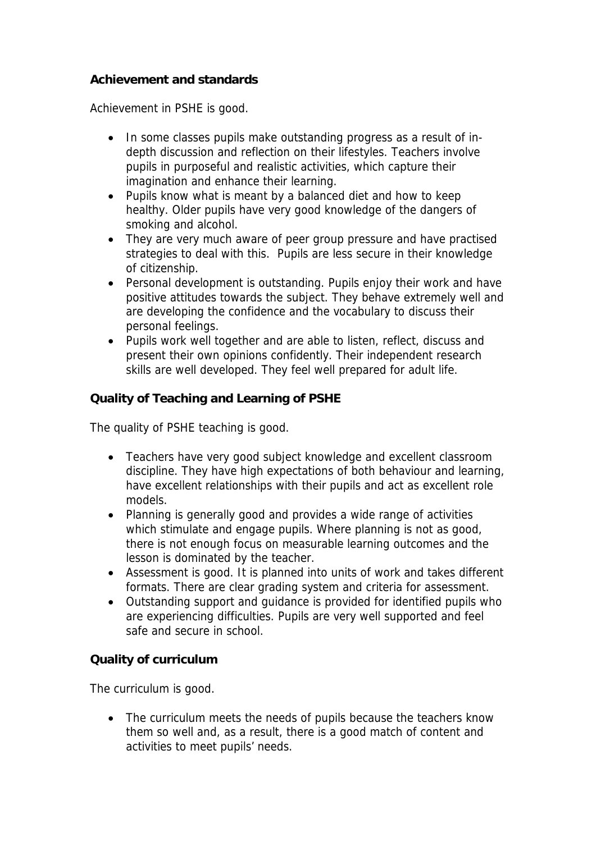## **Achievement and standards**

Achievement in PSHE is good.

- In some classes pupils make outstanding progress as a result of indepth discussion and reflection on their lifestyles. Teachers involve pupils in purposeful and realistic activities, which capture their imagination and enhance their learning.
- Pupils know what is meant by a balanced diet and how to keep healthy. Older pupils have very good knowledge of the dangers of smoking and alcohol.
- They are very much aware of peer group pressure and have practised strategies to deal with this. Pupils are less secure in their knowledge of citizenship.
- Personal development is outstanding. Pupils enjoy their work and have positive attitudes towards the subject. They behave extremely well and are developing the confidence and the vocabulary to discuss their personal feelings.
- Pupils work well together and are able to listen, reflect, discuss and present their own opinions confidently. Their independent research skills are well developed. They feel well prepared for adult life.

**Quality of Teaching and Learning of PSHE**

The quality of PSHE teaching is good.

- Teachers have very good subject knowledge and excellent classroom discipline. They have high expectations of both behaviour and learning, have excellent relationships with their pupils and act as excellent role models.
- Planning is generally good and provides a wide range of activities which stimulate and engage pupils. Where planning is not as good, there is not enough focus on measurable learning outcomes and the lesson is dominated by the teacher.
- Assessment is good. It is planned into units of work and takes different formats. There are clear grading system and criteria for assessment.
- Outstanding support and guidance is provided for identified pupils who are experiencing difficulties. Pupils are very well supported and feel safe and secure in school.

**Quality of curriculum** 

The curriculum is good.

• The curriculum meets the needs of pupils because the teachers know them so well and, as a result, there is a good match of content and activities to meet pupils' needs.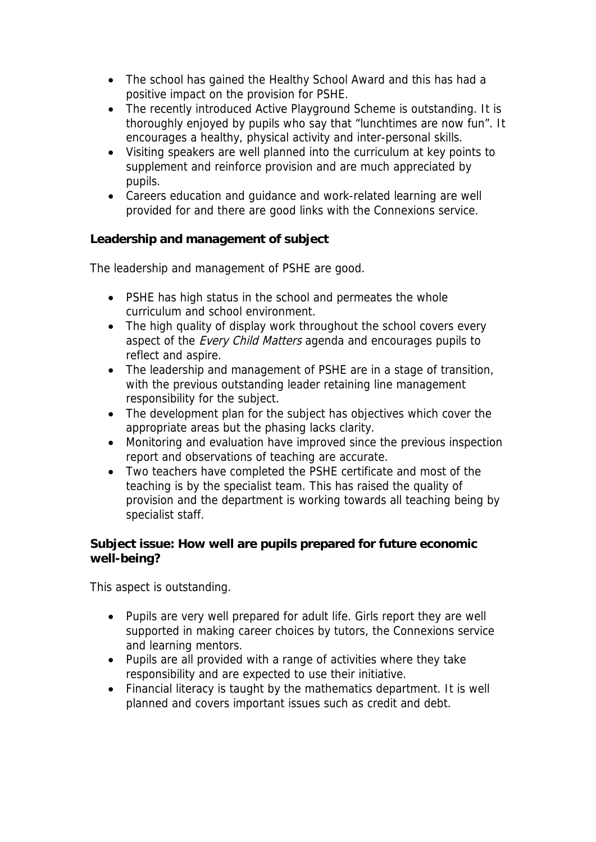- The school has gained the Healthy School Award and this has had a positive impact on the provision for PSHE.
- The recently introduced Active Playground Scheme is outstanding. It is thoroughly enjoyed by pupils who say that "lunchtimes are now fun". It encourages a healthy, physical activity and inter-personal skills.
- Visiting speakers are well planned into the curriculum at key points to supplement and reinforce provision and are much appreciated by pupils.
- Careers education and guidance and work-related learning are well provided for and there are good links with the Connexions service.

**Leadership and management of subject**

The leadership and management of PSHE are good.

- PSHE has high status in the school and permeates the whole curriculum and school environment.
- The high quality of display work throughout the school covers every aspect of the *Every Child Matters* agenda and encourages pupils to reflect and aspire.
- The leadership and management of PSHE are in a stage of transition, with the previous outstanding leader retaining line management responsibility for the subject.
- The development plan for the subject has objectives which cover the appropriate areas but the phasing lacks clarity.
- Monitoring and evaluation have improved since the previous inspection report and observations of teaching are accurate.
- Two teachers have completed the PSHE certificate and most of the teaching is by the specialist team. This has raised the quality of provision and the department is working towards all teaching being by specialist staff.

**Subject issue: How well are pupils prepared for future economic well-being?**

This aspect is outstanding.

- Pupils are very well prepared for adult life. Girls report they are well supported in making career choices by tutors, the Connexions service and learning mentors.
- Pupils are all provided with a range of activities where they take responsibility and are expected to use their initiative.
- Financial literacy is taught by the mathematics department. It is well planned and covers important issues such as credit and debt.